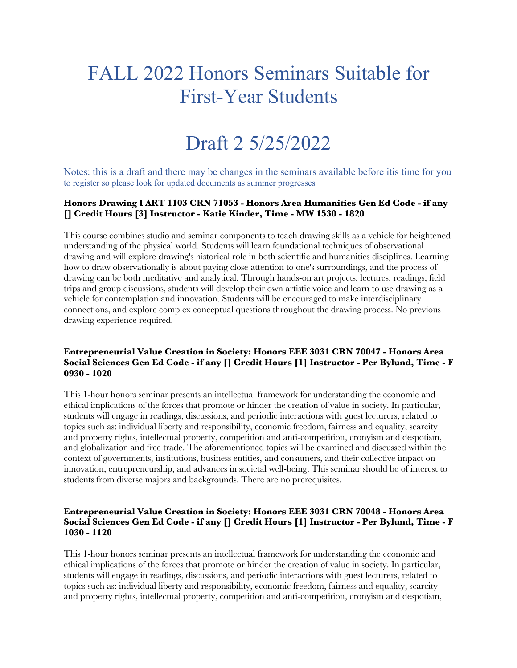# FALL 2022 Honors Seminars Suitable for First-Year Students

# Draft 2 5/25/2022

Notes: this is a draft and there may be changes in the seminars available before itis time for you to register so please look for updated documents as summer progresses

#### **Honors Drawing I ART 1103 CRN 71053 - Honors Area Humanities Gen Ed Code - if any [] Credit Hours [3] Instructor - Katie Kinder, Time - MW 1530 - 1820**

This course combines studio and seminar components to teach drawing skills as a vehicle for heightened understanding of the physical world. Students will learn foundational techniques of observational drawing and will explore drawing's historical role in both scientific and humanities disciplines. Learning how to draw observationally is about paying close attention to one's surroundings, and the process of drawing can be both meditative and analytical. Through hands-on art projects, lectures, readings, field trips and group discussions, students will develop their own artistic voice and learn to use drawing as a vehicle for contemplation and innovation. Students will be encouraged to make interdisciplinary connections, and explore complex conceptual questions throughout the drawing process. No previous drawing experience required.

#### **Entrepreneurial Value Creation in Society: Honors EEE 3031 CRN 70047 - Honors Area Social Sciences Gen Ed Code - if any [] Credit Hours [1] Instructor - Per Bylund, Time - F 0930 - 1020**

This 1-hour honors seminar presents an intellectual framework for understanding the economic and ethical implications of the forces that promote or hinder the creation of value in society. In particular, students will engage in readings, discussions, and periodic interactions with guest lecturers, related to topics such as: individual liberty and responsibility, economic freedom, fairness and equality, scarcity and property rights, intellectual property, competition and anti-competition, cronyism and despotism, and globalization and free trade. The aforementioned topics will be examined and discussed within the context of governments, institutions, business entities, and consumers, and their collective impact on innovation, entrepreneurship, and advances in societal well-being. This seminar should be of interest to students from diverse majors and backgrounds. There are no prerequisites.

#### **Entrepreneurial Value Creation in Society: Honors EEE 3031 CRN 70048 - Honors Area Social Sciences Gen Ed Code - if any [] Credit Hours [1] Instructor - Per Bylund, Time - F 1030 - 1120**

This 1-hour honors seminar presents an intellectual framework for understanding the economic and ethical implications of the forces that promote or hinder the creation of value in society. In particular, students will engage in readings, discussions, and periodic interactions with guest lecturers, related to topics such as: individual liberty and responsibility, economic freedom, fairness and equality, scarcity and property rights, intellectual property, competition and anti-competition, cronyism and despotism,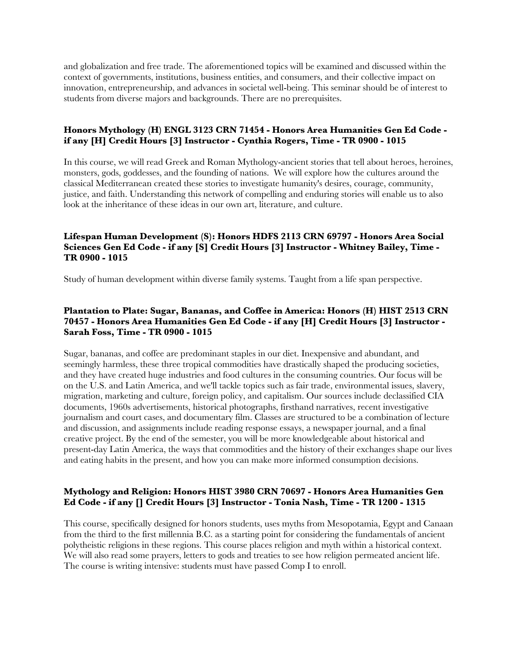and globalization and free trade. The aforementioned topics will be examined and discussed within the context of governments, institutions, business entities, and consumers, and their collective impact on innovation, entrepreneurship, and advances in societal well-being. This seminar should be of interest to students from diverse majors and backgrounds. There are no prerequisites.

#### **Honors Mythology (H) ENGL 3123 CRN 71454 - Honors Area Humanities Gen Ed Code if any [H] Credit Hours [3] Instructor - Cynthia Rogers, Time - TR 0900 - 1015**

In this course, we will read Greek and Roman Mythology-ancient stories that tell about heroes, heroines, monsters, gods, goddesses, and the founding of nations. We will explore how the cultures around the classical Mediterranean created these stories to investigate humanity's desires, courage, community, justice, and faith. Understanding this network of compelling and enduring stories will enable us to also look at the inheritance of these ideas in our own art, literature, and culture.

# **Lifespan Human Development (S): Honors HDFS 2113 CRN 69797 - Honors Area Social Sciences Gen Ed Code - if any [S] Credit Hours [3] Instructor - Whitney Bailey, Time - TR 0900 - 1015**

Study of human development within diverse family systems. Taught from a life span perspective.

# **Plantation to Plate: Sugar, Bananas, and Coffee in America: Honors (H) HIST 2513 CRN 70457 - Honors Area Humanities Gen Ed Code - if any [H] Credit Hours [3] Instructor - Sarah Foss, Time - TR 0900 - 1015**

Sugar, bananas, and coffee are predominant staples in our diet. Inexpensive and abundant, and seemingly harmless, these three tropical commodities have drastically shaped the producing societies, and they have created huge industries and food cultures in the consuming countries. Our focus will be on the U.S. and Latin America, and we'll tackle topics such as fair trade, environmental issues, slavery, migration, marketing and culture, foreign policy, and capitalism. Our sources include declassified CIA documents, 1960s advertisements, historical photographs, firsthand narratives, recent investigative journalism and court cases, and documentary film. Classes are structured to be a combination of lecture and discussion, and assignments include reading response essays, a newspaper journal, and a final creative project. By the end of the semester, you will be more knowledgeable about historical and present-day Latin America, the ways that commodities and the history of their exchanges shape our lives and eating habits in the present, and how you can make more informed consumption decisions.

#### **Mythology and Religion: Honors HIST 3980 CRN 70697 - Honors Area Humanities Gen Ed Code - if any [] Credit Hours [3] Instructor - Tonia Nash, Time - TR 1200 - 1315**

This course, specifically designed for honors students, uses myths from Mesopotamia, Egypt and Canaan from the third to the first millennia B.C. as a starting point for considering the fundamentals of ancient polytheistic religions in these regions. This course places religion and myth within a historical context. We will also read some prayers, letters to gods and treaties to see how religion permeated ancient life. The course is writing intensive: students must have passed Comp I to enroll.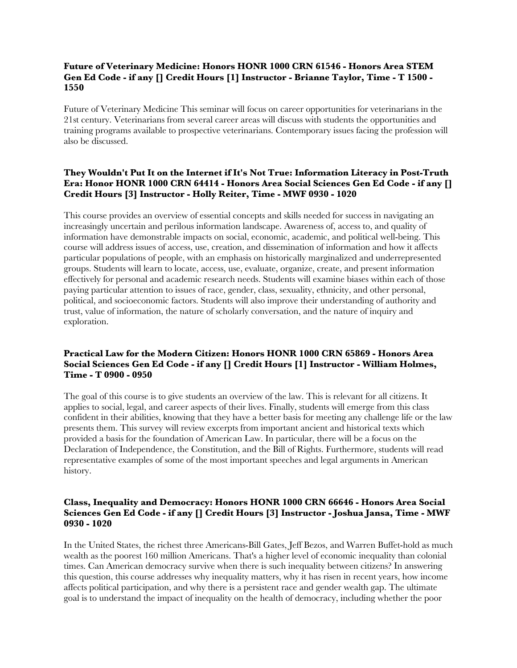#### **Future of Veterinary Medicine: Honors HONR 1000 CRN 61546 - Honors Area STEM Gen Ed Code - if any [] Credit Hours [1] Instructor - Brianne Taylor, Time - T 1500 - 1550**

Future of Veterinary Medicine This seminar will focus on career opportunities for veterinarians in the 21st century. Veterinarians from several career areas will discuss with students the opportunities and training programs available to prospective veterinarians. Contemporary issues facing the profession will also be discussed.

# **They Wouldn't Put It on the Internet if It's Not True: Information Literacy in Post-Truth Era: Honor HONR 1000 CRN 64414 - Honors Area Social Sciences Gen Ed Code - if any [] Credit Hours [3] Instructor - Holly Reiter, Time - MWF 0930 - 1020**

This course provides an overview of essential concepts and skills needed for success in navigating an increasingly uncertain and perilous information landscape. Awareness of, access to, and quality of information have demonstrable impacts on social, economic, academic, and political well-being. This course will address issues of access, use, creation, and dissemination of information and how it affects particular populations of people, with an emphasis on historically marginalized and underrepresented groups. Students will learn to locate, access, use, evaluate, organize, create, and present information effectively for personal and academic research needs. Students will examine biases within each of those paying particular attention to issues of race, gender, class, sexuality, ethnicity, and other personal, political, and socioeconomic factors. Students will also improve their understanding of authority and trust, value of information, the nature of scholarly conversation, and the nature of inquiry and exploration.

#### **Practical Law for the Modern Citizen: Honors HONR 1000 CRN 65869 - Honors Area Social Sciences Gen Ed Code - if any [] Credit Hours [1] Instructor - William Holmes, Time - T 0900 - 0950**

The goal of this course is to give students an overview of the law. This is relevant for all citizens. It applies to social, legal, and career aspects of their lives. Finally, students will emerge from this class confident in their abilities, knowing that they have a better basis for meeting any challenge life or the law presents them. This survey will review excerpts from important ancient and historical texts which provided a basis for the foundation of American Law. In particular, there will be a focus on the Declaration of Independence, the Constitution, and the Bill of Rights. Furthermore, students will read representative examples of some of the most important speeches and legal arguments in American history.

#### **Class, Inequality and Democracy: Honors HONR 1000 CRN 66646 - Honors Area Social Sciences Gen Ed Code - if any [] Credit Hours [3] Instructor - Joshua Jansa, Time - MWF 0930 - 1020**

In the United States, the richest three Americans-Bill Gates, Jeff Bezos, and Warren Buffet-hold as much wealth as the poorest 160 million Americans. That's a higher level of economic inequality than colonial times. Can American democracy survive when there is such inequality between citizens? In answering this question, this course addresses why inequality matters, why it has risen in recent years, how income affects political participation, and why there is a persistent race and gender wealth gap. The ultimate goal is to understand the impact of inequality on the health of democracy, including whether the poor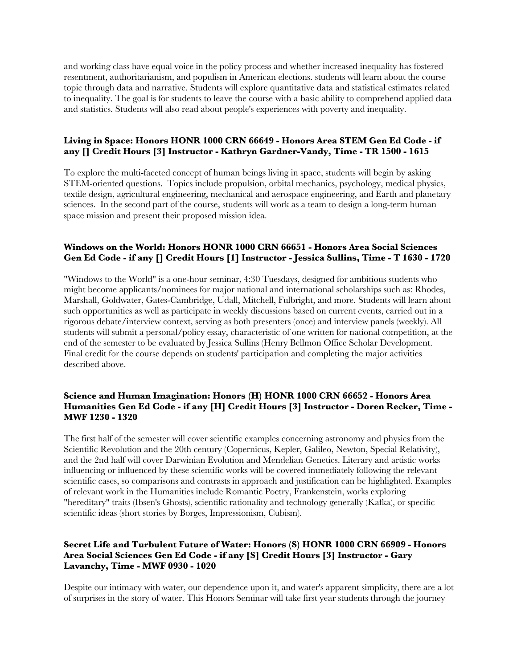and working class have equal voice in the policy process and whether increased inequality has fostered resentment, authoritarianism, and populism in American elections. students will learn about the course topic through data and narrative. Students will explore quantitative data and statistical estimates related to inequality. The goal is for students to leave the course with a basic ability to comprehend applied data and statistics. Students will also read about people's experiences with poverty and inequality.

#### **Living in Space: Honors HONR 1000 CRN 66649 - Honors Area STEM Gen Ed Code - if any [] Credit Hours [3] Instructor - Kathryn Gardner-Vandy, Time - TR 1500 - 1615**

To explore the multi-faceted concept of human beings living in space, students will begin by asking STEM-oriented questions. Topics include propulsion, orbital mechanics, psychology, medical physics, textile design, agricultural engineering, mechanical and aerospace engineering, and Earth and planetary sciences. In the second part of the course, students will work as a team to design a long-term human space mission and present their proposed mission idea.

#### **Windows on the World: Honors HONR 1000 CRN 66651 - Honors Area Social Sciences Gen Ed Code - if any [] Credit Hours [1] Instructor - Jessica Sullins, Time - T 1630 - 1720**

"Windows to the World" is a one-hour seminar, 4:30 Tuesdays, designed for ambitious students who might become applicants/nominees for major national and international scholarships such as: Rhodes, Marshall, Goldwater, Gates-Cambridge, Udall, Mitchell, Fulbright, and more. Students will learn about such opportunities as well as participate in weekly discussions based on current events, carried out in a rigorous debate/interview context, serving as both presenters (once) and interview panels (weekly). All students will submit a personal/policy essay, characteristic of one written for national competition, at the end of the semester to be evaluated by Jessica Sullins (Henry Bellmon Office Scholar Development. Final credit for the course depends on students' participation and completing the major activities described above.

#### **Science and Human Imagination: Honors (H) HONR 1000 CRN 66652 - Honors Area Humanities Gen Ed Code - if any [H] Credit Hours [3] Instructor - Doren Recker, Time - MWF 1230 - 1320**

The first half of the semester will cover scientific examples concerning astronomy and physics from the Scientific Revolution and the 20th century (Copernicus, Kepler, Galileo, Newton, Special Relativity), and the 2nd half will cover Darwinian Evolution and Mendelian Genetics. Literary and artistic works influencing or influenced by these scientific works will be covered immediately following the relevant scientific cases, so comparisons and contrasts in approach and justification can be highlighted. Examples of relevant work in the Humanities include Romantic Poetry, Frankenstein, works exploring "hereditary" traits (Ibsen's Ghosts), scientific rationality and technology generally (Kafka), or specific scientific ideas (short stories by Borges, Impressionism, Cubism).

#### **Secret Life and Turbulent Future of Water: Honors (S) HONR 1000 CRN 66909 - Honors Area Social Sciences Gen Ed Code - if any [S] Credit Hours [3] Instructor - Gary Lavanchy, Time - MWF 0930 - 1020**

Despite our intimacy with water, our dependence upon it, and water's apparent simplicity, there are a lot of surprises in the story of water. This Honors Seminar will take first year students through the journey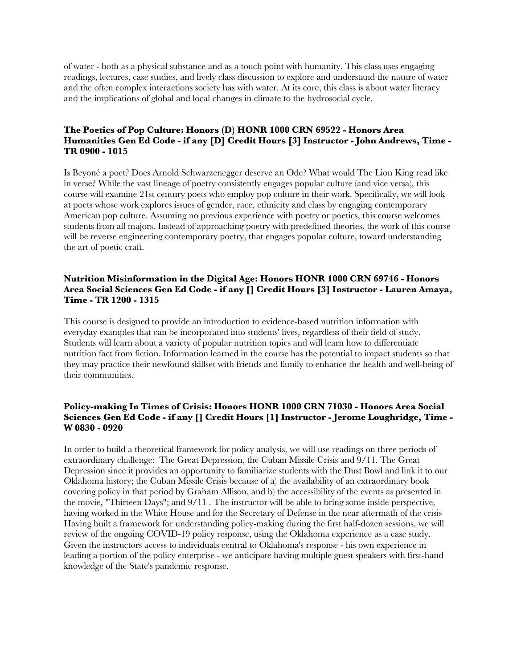of water - both as a physical substance and as a touch point with humanity. This class uses engaging readings, lectures, case studies, and lively class discussion to explore and understand the nature of water and the often complex interactions society has with water. At its core, this class is about water literacy and the implications of global and local changes in climate to the hydrosocial cycle.

#### **The Poetics of Pop Culture: Honors (D) HONR 1000 CRN 69522 - Honors Area Humanities Gen Ed Code - if any [D] Credit Hours [3] Instructor - John Andrews, Time - TR 0900 - 1015**

Is Beyoné a poet? Does Arnold Schwarzenegger deserve an Ode? What would The Lion King read like in verse? While the vast lineage of poetry consistently engages popular culture (and vice versa), this course will examine 21st century poets who employ pop culture in their work. Specifically, we will look at poets whose work explores issues of gender, race, ethnicity and class by engaging contemporary American pop culture. Assuming no previous experience with poetry or poetics, this course welcomes students from all majors. Instead of approaching poetry with predefined theories, the work of this course will be reverse engineering contemporary poetry, that engages popular culture, toward understanding the art of poetic craft.

#### **Nutrition Misinformation in the Digital Age: Honors HONR 1000 CRN 69746 - Honors Area Social Sciences Gen Ed Code - if any [] Credit Hours [3] Instructor - Lauren Amaya, Time - TR 1200 - 1315**

This course is designed to provide an introduction to evidence-based nutrition information with everyday examples that can be incorporated into students' lives, regardless of their field of study. Students will learn about a variety of popular nutrition topics and will learn how to differentiate nutrition fact from fiction. Information learned in the course has the potential to impact students so that they may practice their newfound skillset with friends and family to enhance the health and well-being of their communities.

#### **Policy-making In Times of Crisis: Honors HONR 1000 CRN 71030 - Honors Area Social Sciences Gen Ed Code - if any [] Credit Hours [1] Instructor - Jerome Loughridge, Time - W 0830 - 0920**

In order to build a theoretical framework for policy analysis, we will use readings on three periods of extraordinary challenge: The Great Depression, the Cuban Missile Crisis and 9/11. The Great Depression since it provides an opportunity to familiarize students with the Dust Bowl and link it to our Oklahoma history; the Cuban Missile Crisis because of a) the availability of an extraordinary book covering policy in that period by Graham Allison, and b) the accessibility of the events as presented in the movie, "Thirteen Days"; and 9/11 . The instructor will be able to bring some inside perspective, having worked in the White House and for the Secretary of Defense in the near aftermath of the crisis Having built a framework for understanding policy-making during the first half-dozen sessions, we will review of the ongoing COVID-19 policy response, using the Oklahoma experience as a case study. Given the instructors access to individuals central to Oklahoma's response - his own experience in leading a portion of the policy enterprise - we anticipate having multiple guest speakers with first-hand knowledge of the State's pandemic response.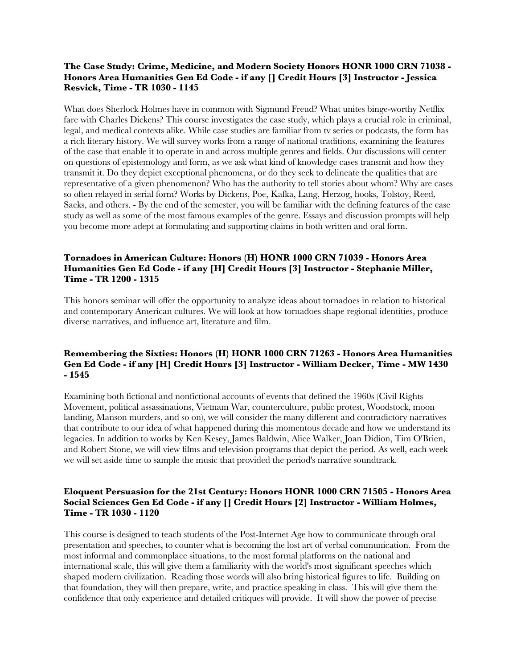#### **The Case Study: Crime, Medicine, and Modern Society Honors HONR 1000 CRN 71038 - Honors Area Humanities Gen Ed Code - if any [] Credit Hours [3] Instructor - Jessica Resvick, Time - TR 1030 - 1145**

What does Sherlock Holmes have in common with Sigmund Freud? What unites binge-worthy Netflix fare with Charles Dickens? This course investigates the case study, which plays a crucial role in criminal, legal, and medical contexts alike. While case studies are familiar from tv series or podcasts, the form has a rich literary history. We will survey works from a range of national traditions, examining the features of the case that enable it to operate in and across multiple genres and fields. Our discussions will center on questions of epistemology and form, as we ask what kind of knowledge cases transmit and how they transmit it. Do they depict exceptional phenomena, or do they seek to delineate the qualities that are representative of a given phenomenon? Who has the authority to tell stories about whom? Why are cases so often relayed in serial form? Works by Dickens, Poe, Kafka, Lang, Herzog, hooks, Tolstoy, Reed, Sacks, and others. - By the end of the semester, you will be familiar with the defining features of the case study as well as some of the most famous examples of the genre. Essays and discussion prompts will help you become more adept at formulating and supporting claims in both written and oral form.

#### **Tornadoes in American Culture: Honors (H) HONR 1000 CRN 71039 - Honors Area Humanities Gen Ed Code - if any [H] Credit Hours [3] Instructor - Stephanie Miller, Time - TR 1200 - 1315**

This honors seminar will offer the opportunity to analyze ideas about tornadoes in relation to historical and contemporary American cultures. We will look at how tornadoes shape regional identities, produce diverse narratives, and influence art, literature and film.

#### **Remembering the Sixties: Honors (H) HONR 1000 CRN 71263 - Honors Area Humanities Gen Ed Code - if any [H] Credit Hours [3] Instructor - William Decker, Time - MW 1430 - 1545**

Examining both fictional and nonfictional accounts of events that defined the 1960s (Civil Rights Movement, political assassinations, Vietnam War, counterculture, public protest, Woodstock, moon landing, Manson murders, and so on), we will consider the many different and contradictory narratives that contribute to our idea of what happened during this momentous decade and how we understand its legacies. In addition to works by Ken Kesey, James Baldwin, Alice Walker, Joan Didion, Tim O'Brien, and Robert Stone, we will view films and television programs that depict the period. As well, each week we will set aside time to sample the music that provided the period's narrative soundtrack.

#### **Eloquent Persuasion for the 21st Century: Honors HONR 1000 CRN 71505 - Honors Area Social Sciences Gen Ed Code - if any [] Credit Hours [2] Instructor - William Holmes, Time - TR 1030 - 1120**

This course is designed to teach students of the Post-Internet Age how to communicate through oral presentation and speeches, to counter what is becoming the lost art of verbal communication. From the most informal and commonplace situations, to the most formal platforms on the national and international scale, this will give them a familiarity with the world's most significant speeches which shaped modern civilization. Reading those words will also bring historical figures to life. Building on that foundation, they will then prepare, write, and practice speaking in class. This will give them the confidence that only experience and detailed critiques will provide. It will show the power of precise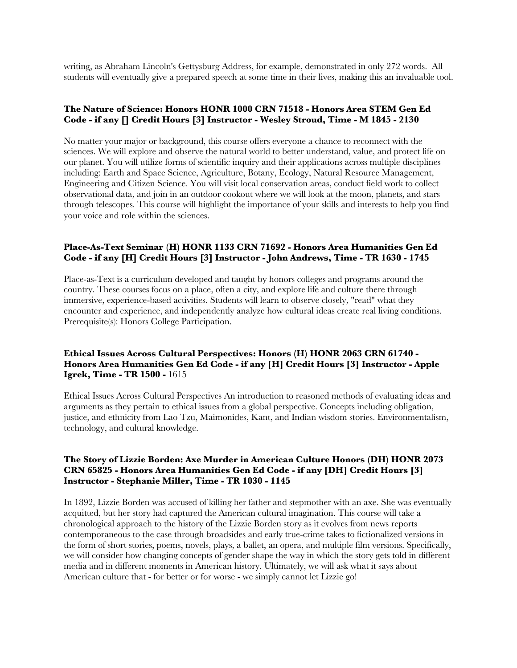writing, as Abraham Lincoln's Gettysburg Address, for example, demonstrated in only 272 words. All students will eventually give a prepared speech at some time in their lives, making this an invaluable tool.

#### **The Nature of Science: Honors HONR 1000 CRN 71518 - Honors Area STEM Gen Ed Code - if any [] Credit Hours [3] Instructor - Wesley Stroud, Time - M 1845 - 2130**

No matter your major or background, this course offers everyone a chance to reconnect with the sciences. We will explore and observe the natural world to better understand, value, and protect life on our planet. You will utilize forms of scientific inquiry and their applications across multiple disciplines including: Earth and Space Science, Agriculture, Botany, Ecology, Natural Resource Management, Engineering and Citizen Science. You will visit local conservation areas, conduct field work to collect observational data, and join in an outdoor cookout where we will look at the moon, planets, and stars through telescopes. This course will highlight the importance of your skills and interests to help you find your voice and role within the sciences.

#### **Place-As-Text Seminar (H) HONR 1133 CRN 71692 - Honors Area Humanities Gen Ed Code - if any [H] Credit Hours [3] Instructor - John Andrews, Time - TR 1630 - 1745**

Place-as-Text is a curriculum developed and taught by honors colleges and programs around the country. These courses focus on a place, often a city, and explore life and culture there through immersive, experience-based activities. Students will learn to observe closely, "read" what they encounter and experience, and independently analyze how cultural ideas create real living conditions. Prerequisite(s): Honors College Participation.

#### **Ethical Issues Across Cultural Perspectives: Honors (H) HONR 2063 CRN 61740 - Honors Area Humanities Gen Ed Code - if any [H] Credit Hours [3] Instructor - Apple Igrek, Time - TR 1500 -** 1615

Ethical Issues Across Cultural Perspectives An introduction to reasoned methods of evaluating ideas and arguments as they pertain to ethical issues from a global perspective. Concepts including obligation, justice, and ethnicity from Lao Tzu, Maimonides, Kant, and Indian wisdom stories. Environmentalism, technology, and cultural knowledge.

#### **The Story of Lizzie Borden: Axe Murder in American Culture Honors (DH) HONR 2073 CRN 65825 - Honors Area Humanities Gen Ed Code - if any [DH] Credit Hours [3] Instructor - Stephanie Miller, Time - TR 1030 - 1145**

In 1892, Lizzie Borden was accused of killing her father and stepmother with an axe. She was eventually acquitted, but her story had captured the American cultural imagination. This course will take a chronological approach to the history of the Lizzie Borden story as it evolves from news reports contemporaneous to the case through broadsides and early true-crime takes to fictionalized versions in the form of short stories, poems, novels, plays, a ballet, an opera, and multiple film versions. Specifically, we will consider how changing concepts of gender shape the way in which the story gets told in different media and in different moments in American history. Ultimately, we will ask what it says about American culture that - for better or for worse - we simply cannot let Lizzie go!